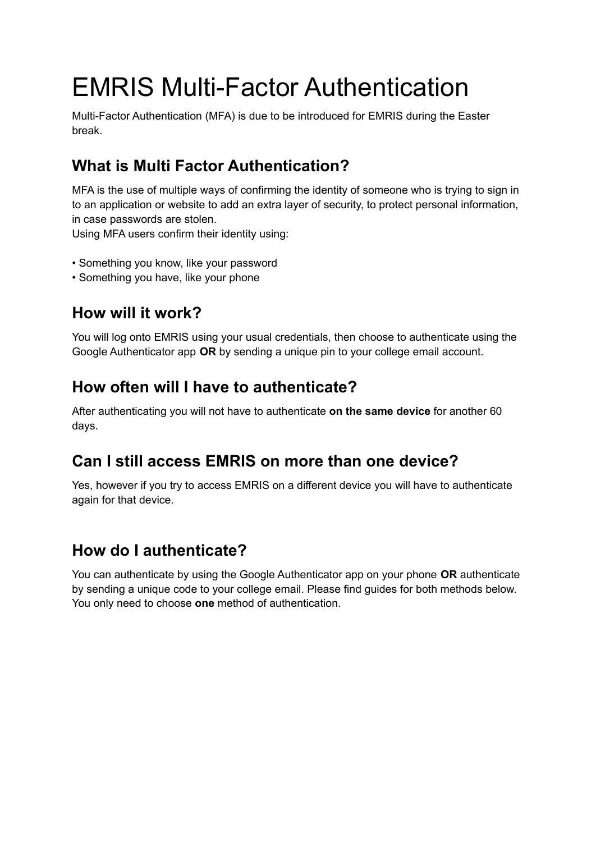# EMRIS Multi-Factor Authentication

Multi-Factor Authentication (MFA) is due to be introduced for EMRIS during the Easter break.

## **What is Multi Factor Authentication?**

MFA is the use of multiple ways of confirming the identity of someone who is trying to sign in to an application or website to add an extra layer of security, to protect personal information, in case passwords are stolen.

Using MFA users confirm their identity using:

- Something you know, like your password
- Something you have, like your phone

### **How will it work?**

You will log onto EMRIS using your usual credentials, then choose to authenticate using the Google Authenticator app **OR** by sending a unique pin to your college email account.

#### **How often will I have to authenticate?**

After authenticating you will not have to authenticate **on the same device** for another 60 days.

#### **Can I still access EMRIS on more than one device?**

Yes, however if you try to access EMRIS on a different device you will have to authenticate again for that device.

#### **How do I authenticate?**

You can authenticate by using the Google Authenticator app on your phone **OR** authenticate by sending a unique code to your college email. Please find guides for both methods below. You only need to choose **one** method of authentication.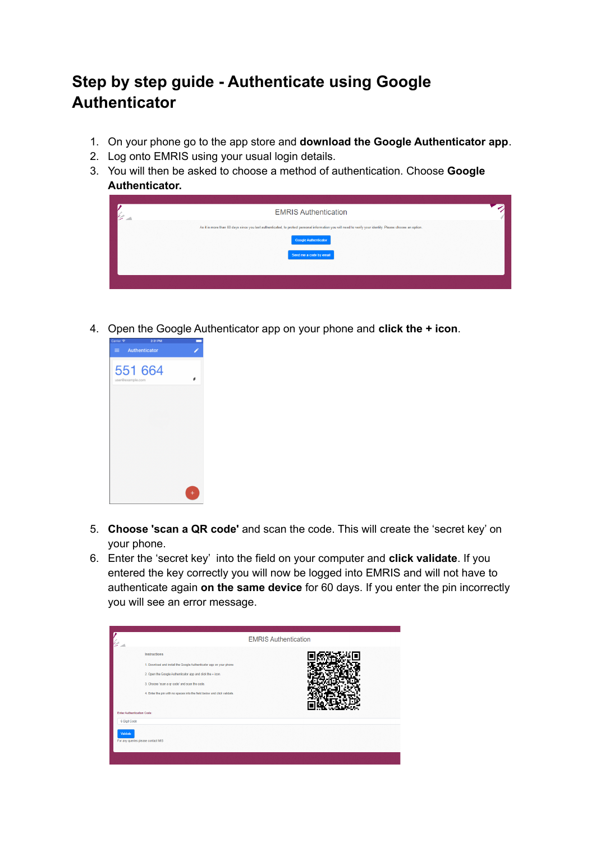# **Step by step guide - Authenticate using Google Authenticator**

- 1. On your phone go to the app store and **download the Google Authenticator app**.
- 2. Log onto EMRIS using your usual login details.
- 3. You will then be asked to choose a method of authentication. Choose **Google Authenticator.**



4. Open the Google Authenticator app on your phone and **click the + icon**.



- 5. **Choose 'scan a QR code'** and scan the code. This will create the 'secret key' on your phone.
- 6. Enter the 'secret key' into the field on your computer and **click validate**. If you entered the key correctly you will now be logged into EMRIS and will not have to authenticate again **on the same device** for 60 days. If you enter the pin incorrectly you will see an error message.

|                                                                                                                                                                                                                                                                                                                    | <b>EMRIS Authentication</b> |
|--------------------------------------------------------------------------------------------------------------------------------------------------------------------------------------------------------------------------------------------------------------------------------------------------------------------|-----------------------------|
| <b>Instructions</b><br>1. Download and install the Google Authenticator app on your phone<br>2. Open the Google Authenticator app and click the + icon.<br>3. Choose 'scan a gr code' and scan the code.<br>4. Enter the pin with no spaces into the field below and click validate.<br>Enter Authentication Code: |                             |
| 6 Digit Code<br>Validate<br>For any queries please contact MIS                                                                                                                                                                                                                                                     |                             |